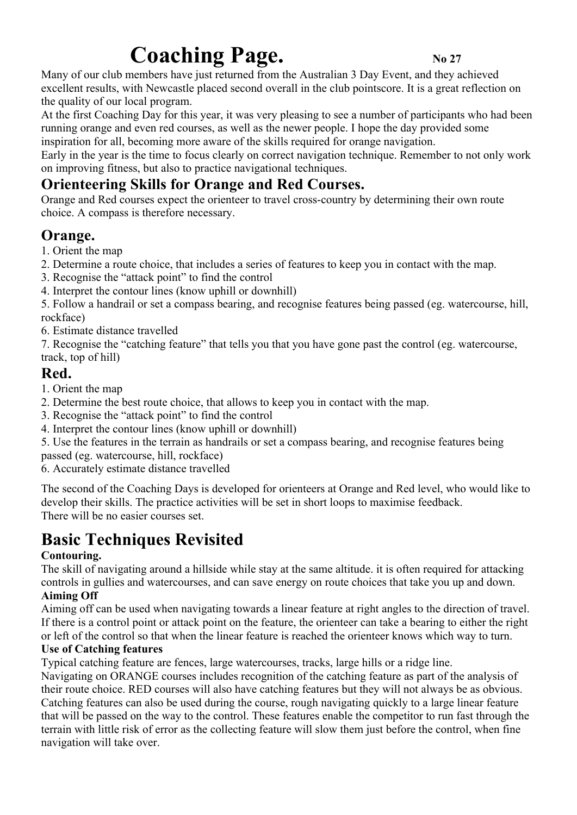# **Coaching Page.** No 27

Many of our club members have just returned from the Australian 3 Day Event, and they achieved excellent results, with Newcastle placed second overall in the club pointscore. It is a great reflection on the quality of our local program.

At the first Coaching Day for this year, it was very pleasing to see a number of participants who had been running orange and even red courses, as well as the newer people. I hope the day provided some inspiration for all, becoming more aware of the skills required for orange navigation.

Early in the year is the time to focus clearly on correct navigation technique. Remember to not only work on improving fitness, but also to practice navigational techniques.

# **Orienteering Skills for Orange and Red Courses.**

Orange and Red courses expect the orienteer to travel cross-country by determining their own route choice. A compass is therefore necessary.

# **Orange.**

1. Orient the map

- 2. Determine a route choice, that includes a series of features to keep you in contact with the map.
- 3. Recognise the "attack point" to find the control
- 4. Interpret the contour lines (know uphill or downhill)

5. Follow a handrail or set a compass bearing, and recognise features being passed (eg. watercourse, hill, rockface)

6. Estimate distance travelled

7. Recognise the "catching feature" that tells you that you have gone past the control (eg. watercourse, track, top of hill)

### **Red.**

1. Orient the map

- 2. Determine the best route choice, that allows to keep you in contact with the map.
- 3. Recognise the "attack point" to find the control
- 4. Interpret the contour lines (know uphill or downhill)

5. Use the features in the terrain as handrails or set a compass bearing, and recognise features being

passed (eg. watercourse, hill, rockface)

6. Accurately estimate distance travelled

The second of the Coaching Days is developed for orienteers at Orange and Red level, who would like to develop their skills. The practice activities will be set in short loops to maximise feedback. There will be no easier courses set.

# **Basic Techniques Revisited**

### **Contouring.**

The skill of navigating around a hillside while stay at the same altitude. it is often required for attacking controls in gullies and watercourses, and can save energy on route choices that take you up and down. **Aiming Off**

Aiming off can be used when navigating towards a linear feature at right angles to the direction of travel. If there is a control point or attack point on the feature, the orienteer can take a bearing to either the right or left of the control so that when the linear feature is reached the orienteer knows which way to turn.

### **Use of Catching features**

Typical catching feature are fences, large watercourses, tracks, large hills or a ridge line.

Navigating on ORANGE courses includes recognition of the catching feature as part of the analysis of their route choice. RED courses will also have catching features but they will not always be as obvious. Catching features can also be used during the course, rough navigating quickly to a large linear feature that will be passed on the way to the control. These features enable the competitor to run fast through the terrain with little risk of error as the collecting feature will slow them just before the control, when fine navigation will take over.